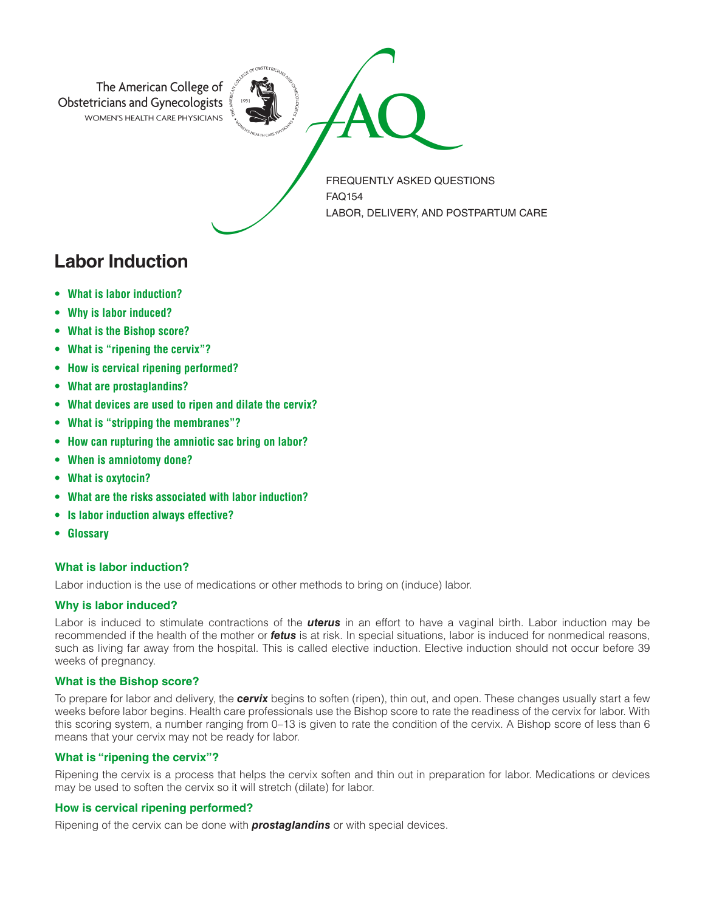

**Labor Induction**

- **• What is labor induction?**
- **• Why is labor induced?**
- **• What is the Bishop score?**
- **• What is "ripening the cervix"?**
- **• How is cervical ripening performed?**
- **• What are prostaglandins?**
- **• What devices are used to ripen and dilate the cervix?**
- **• What is "stripping the membranes"?**
- **• How can rupturing the amniotic sac bring on labor?**
- **• When is amniotomy done?**
- **• What is oxytocin?**
- **• What are the risks associated with labor induction?**
- **• Is labor induction always effective?**
- **• Glossary**

# **What is labor induction?**

Labor induction is the use of medications or other methods to bring on (induce) labor.

# **Why is labor induced?**

Labor is induced to stimulate contractions of the *uterus* in an effort to have a vaginal birth. Labor induction may be recommended if the health of the mother or *fetus* is at risk. In special situations, labor is induced for nonmedical reasons, such as living far away from the hospital. This is called elective induction. Elective induction should not occur before 39 weeks of pregnancy.

# **What is the Bishop score?**

To prepare for labor and delivery, the *cervix* begins to soften (ripen), thin out, and open. These changes usually start a few weeks before labor begins. Health care professionals use the Bishop score to rate the readiness of the cervix for labor. With this scoring system, a number ranging from 0–13 is given to rate the condition of the cervix. A Bishop score of less than 6 means that your cervix may not be ready for labor.

# **What is "ripening the cervix"?**

Ripening the cervix is a process that helps the cervix soften and thin out in preparation for labor. Medications or devices may be used to soften the cervix so it will stretch (dilate) for labor.

# **How is cervical ripening performed?**

Ripening of the cervix can be done with *prostaglandins* or with special devices.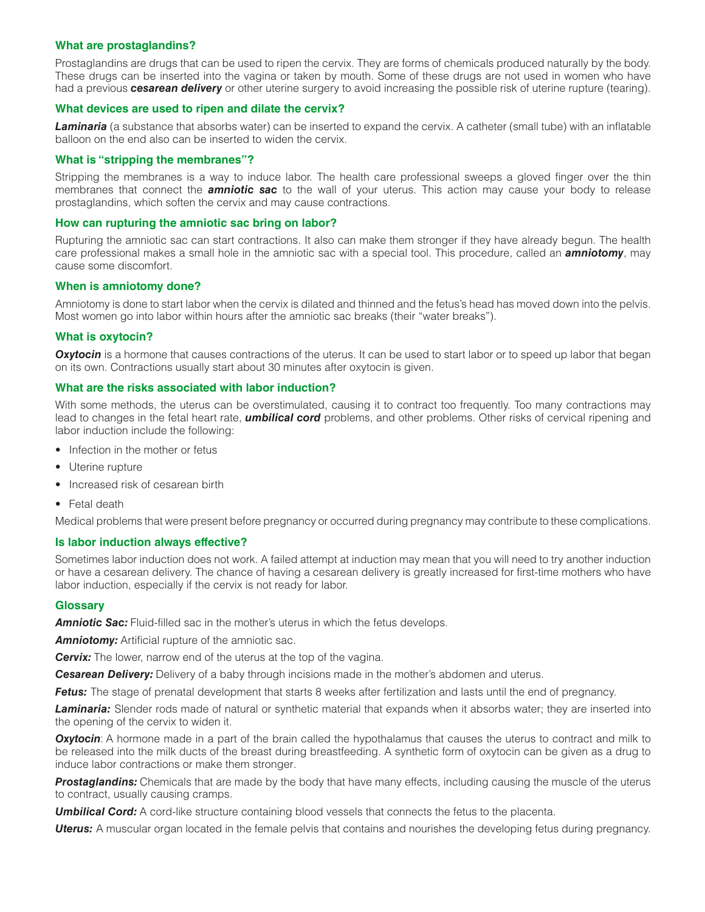# **What are prostaglandins?**

Prostaglandins are drugs that can be used to ripen the cervix. They are forms of chemicals produced naturally by the body. These drugs can be inserted into the vagina or taken by mouth. Some of these drugs are not used in women who have had a previous *cesarean delivery* or other uterine surgery to avoid increasing the possible risk of uterine rupture (tearing).

### **What devices are used to ripen and dilate the cervix?**

*Laminaria* (a substance that absorbs water) can be inserted to expand the cervix. A catheter (small tube) with an inflatable balloon on the end also can be inserted to widen the cervix.

### **What is "stripping the membranes"?**

Stripping the membranes is a way to induce labor. The health care professional sweeps a gloved finger over the thin membranes that connect the *amniotic sac* to the wall of your uterus. This action may cause your body to release prostaglandins, which soften the cervix and may cause contractions.

### **How can rupturing the amniotic sac bring on labor?**

Rupturing the amniotic sac can start contractions. It also can make them stronger if they have already begun. The health care professional makes a small hole in the amniotic sac with a special tool. This procedure, called an *amniotomy*, may cause some discomfort.

### **When is amniotomy done?**

Amniotomy is done to start labor when the cervix is dilated and thinned and the fetus's head has moved down into the pelvis. Most women go into labor within hours after the amniotic sac breaks (their "water breaks").

### **What is oxytocin?**

**Oxytocin** is a hormone that causes contractions of the uterus. It can be used to start labor or to speed up labor that began on its own. Contractions usually start about 30 minutes after oxytocin is given.

### **What are the risks associated with labor induction?**

With some methods, the uterus can be overstimulated, causing it to contract too frequently. Too many contractions may lead to changes in the fetal heart rate, *umbilical cord* problems, and other problems. Other risks of cervical ripening and labor induction include the following:

- Infection in the mother or fetus
- Uterine rupture
- Increased risk of cesarean birth
- Fetal death

Medical problems that were present before pregnancy or occurred during pregnancy may contribute to these complications.

# **Is labor induction always effective?**

Sometimes labor induction does not work. A failed attempt at induction may mean that you will need to try another induction or have a cesarean delivery. The chance of having a cesarean delivery is greatly increased for first-time mothers who have labor induction, especially if the cervix is not ready for labor.

# **Glossary**

**Amniotic Sac:** Fluid-filled sac in the mother's uterus in which the fetus develops.

**Amniotomy:** Artificial rupture of the amniotic sac.

**Cervix:** The lower, narrow end of the uterus at the top of the vagina.

*Cesarean Delivery:* Delivery of a baby through incisions made in the mother's abdomen and uterus.

**Fetus:** The stage of prenatal development that starts 8 weeks after fertilization and lasts until the end of pregnancy.

*Laminaria:* Slender rods made of natural or synthetic material that expands when it absorbs water; they are inserted into the opening of the cervix to widen it.

**Oxytocin**: A hormone made in a part of the brain called the hypothalamus that causes the uterus to contract and milk to be released into the milk ducts of the breast during breastfeeding. A synthetic form of oxytocin can be given as a drug to induce labor contractions or make them stronger.

*Prostaglandins:* Chemicals that are made by the body that have many effects, including causing the muscle of the uterus to contract, usually causing cramps.

**Umbilical Cord:** A cord-like structure containing blood vessels that connects the fetus to the placenta.

*Uterus:* A muscular organ located in the female pelvis that contains and nourishes the developing fetus during pregnancy.